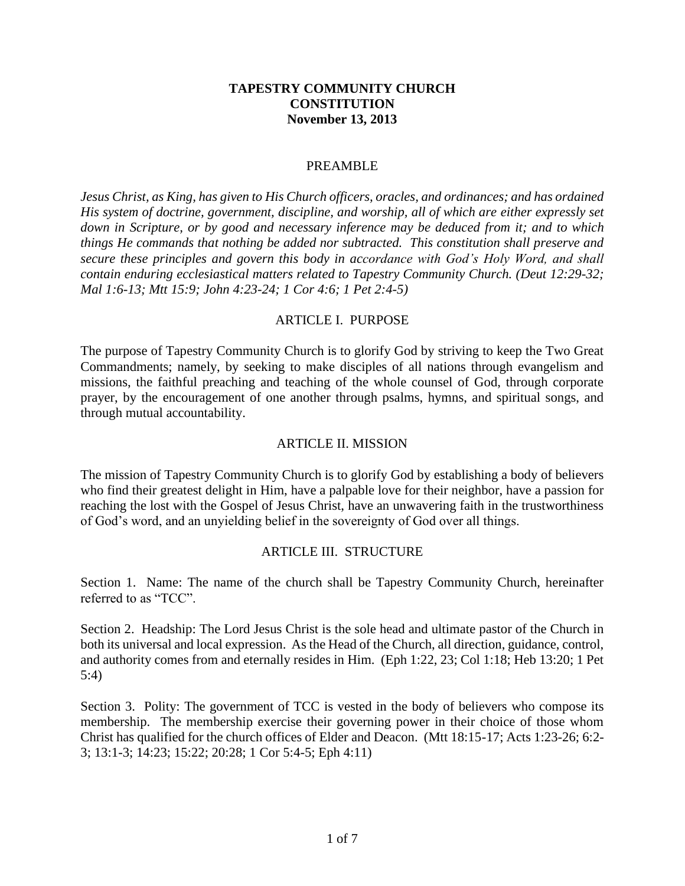### **TAPESTRY COMMUNITY CHURCH CONSTITUTION November 13, 2013**

#### PREAMBLE

*Jesus Christ, as King, has given to His Church officers, oracles, and ordinances; and has ordained His system of doctrine, government, discipline, and worship, all of which are either expressly set down in Scripture, or by good and necessary inference may be deduced from it; and to which things He commands that nothing be added nor subtracted. This constitution shall preserve and secure these principles and govern this body in accordance with God's Holy Word, and shall contain enduring ecclesiastical matters related to Tapestry Community Church. (Deut 12:29-32; Mal 1:6-13; Mtt 15:9; John 4:23-24; 1 Cor 4:6; 1 Pet 2:4-5)*

### ARTICLE I. PURPOSE

The purpose of Tapestry Community Church is to glorify God by striving to keep the Two Great Commandments; namely, by seeking to make disciples of all nations through evangelism and missions, the faithful preaching and teaching of the whole counsel of God, through corporate prayer, by the encouragement of one another through psalms, hymns, and spiritual songs, and through mutual accountability.

#### ARTICLE II. MISSION

The mission of Tapestry Community Church is to glorify God by establishing a body of believers who find their greatest delight in Him, have a palpable love for their neighbor, have a passion for reaching the lost with the Gospel of Jesus Christ, have an unwavering faith in the trustworthiness of God's word, and an unyielding belief in the sovereignty of God over all things.

### ARTICLE III. STRUCTURE

Section 1. Name: The name of the church shall be Tapestry Community Church, hereinafter referred to as "TCC".

Section 2. Headship: The Lord Jesus Christ is the sole head and ultimate pastor of the Church in both its universal and local expression. As the Head of the Church, all direction, guidance, control, and authority comes from and eternally resides in Him. (Eph 1:22, 23; Col 1:18; Heb 13:20; 1 Pet 5:4)

Section 3. Polity: The government of TCC is vested in the body of believers who compose its membership. The membership exercise their governing power in their choice of those whom Christ has qualified for the church offices of Elder and Deacon. (Mtt 18:15-17; Acts 1:23-26; 6:2- 3; 13:1-3; 14:23; 15:22; 20:28; 1 Cor 5:4-5; Eph 4:11)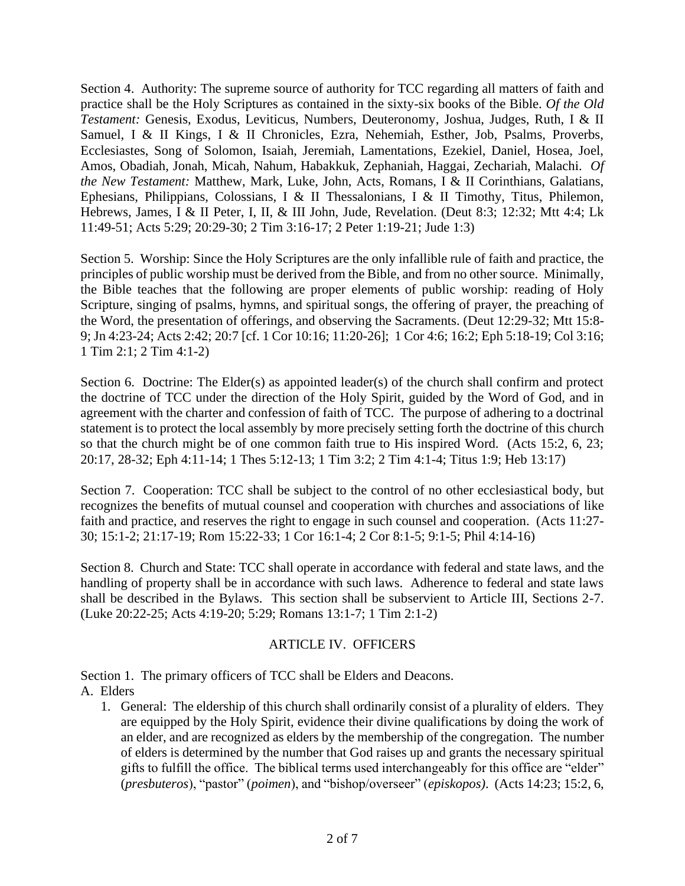Section 4. Authority: The supreme source of authority for TCC regarding all matters of faith and practice shall be the Holy Scriptures as contained in the sixty-six books of the Bible. *Of the Old Testament:* Genesis, Exodus, Leviticus, Numbers, Deuteronomy, Joshua, Judges, Ruth, I & II Samuel, I & II Kings, I & II Chronicles, Ezra, Nehemiah, Esther, Job, Psalms, Proverbs, Ecclesiastes, Song of Solomon, Isaiah, Jeremiah, Lamentations, Ezekiel, Daniel, Hosea, Joel, Amos, Obadiah, Jonah, Micah, Nahum, Habakkuk, Zephaniah, Haggai, Zechariah, Malachi. *Of the New Testament:* Matthew, Mark, Luke, John, Acts, Romans, I & II Corinthians, Galatians, Ephesians, Philippians, Colossians, I & II Thessalonians, I & II Timothy, Titus, Philemon, Hebrews, James, I & II Peter, I, II, & III John, Jude, Revelation. (Deut 8:3; 12:32; Mtt 4:4; Lk 11:49-51; Acts 5:29; 20:29-30; 2 Tim 3:16-17; 2 Peter 1:19-21; Jude 1:3)

Section 5. Worship: Since the Holy Scriptures are the only infallible rule of faith and practice, the principles of public worship must be derived from the Bible, and from no other source. Minimally, the Bible teaches that the following are proper elements of public worship: reading of Holy Scripture, singing of psalms, hymns, and spiritual songs, the offering of prayer, the preaching of the Word, the presentation of offerings, and observing the Sacraments. (Deut 12:29-32; Mtt 15:8- 9; Jn 4:23-24; Acts 2:42; 20:7 [cf. 1 Cor 10:16; 11:20-26]; 1 Cor 4:6; 16:2; Eph 5:18-19; Col 3:16; 1 Tim 2:1; 2 Tim 4:1-2)

Section 6. Doctrine: The Elder(s) as appointed leader(s) of the church shall confirm and protect the doctrine of TCC under the direction of the Holy Spirit, guided by the Word of God, and in agreement with the charter and confession of faith of TCC. The purpose of adhering to a doctrinal statement is to protect the local assembly by more precisely setting forth the doctrine of this church so that the church might be of one common faith true to His inspired Word. (Acts 15:2, 6, 23; 20:17, 28-32; Eph 4:11-14; 1 Thes 5:12-13; 1 Tim 3:2; 2 Tim 4:1-4; Titus 1:9; Heb 13:17)

Section 7. Cooperation: TCC shall be subject to the control of no other ecclesiastical body, but recognizes the benefits of mutual counsel and cooperation with churches and associations of like faith and practice, and reserves the right to engage in such counsel and cooperation. (Acts 11:27- 30; 15:1-2; 21:17-19; Rom 15:22-33; 1 Cor 16:1-4; 2 Cor 8:1-5; 9:1-5; Phil 4:14-16)

Section 8. Church and State: TCC shall operate in accordance with federal and state laws, and the handling of property shall be in accordance with such laws. Adherence to federal and state laws shall be described in the Bylaws. This section shall be subservient to Article III, Sections 2-7. (Luke 20:22-25; Acts 4:19-20; 5:29; Romans 13:1-7; 1 Tim 2:1-2)

## ARTICLE IV. OFFICERS

Section 1. The primary officers of TCC shall be Elders and Deacons.

## A. Elders

1. General: The eldership of this church shall ordinarily consist of a plurality of elders. They are equipped by the Holy Spirit, evidence their divine qualifications by doing the work of an elder, and are recognized as elders by the membership of the congregation. The number of elders is determined by the number that God raises up and grants the necessary spiritual gifts to fulfill the office. The biblical terms used interchangeably for this office are "elder" (*presbuteros*), "pastor" (*poimen*), and "bishop/overseer" (*episkopos)*. (Acts 14:23; 15:2, 6,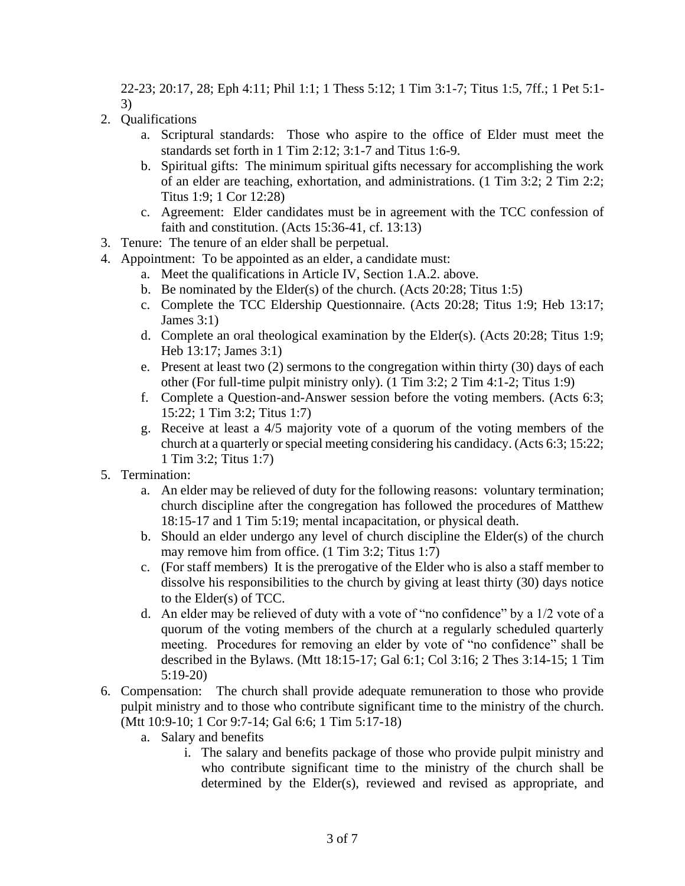22-23; 20:17, 28; Eph 4:11; Phil 1:1; 1 Thess 5:12; 1 Tim 3:1-7; Titus 1:5, 7ff.; 1 Pet 5:1- 3)

- 2. Qualifications
	- a. Scriptural standards: Those who aspire to the office of Elder must meet the standards set forth in 1 Tim 2:12; 3:1-7 and Titus 1:6-9.
	- b. Spiritual gifts: The minimum spiritual gifts necessary for accomplishing the work of an elder are teaching, exhortation, and administrations. (1 Tim 3:2; 2 Tim 2:2; Titus 1:9; 1 Cor 12:28)
	- c. Agreement: Elder candidates must be in agreement with the TCC confession of faith and constitution. (Acts 15:36-41, cf. 13:13)
- 3. Tenure: The tenure of an elder shall be perpetual.
- 4. Appointment: To be appointed as an elder, a candidate must:
	- a. Meet the qualifications in Article IV, Section 1.A.2. above.
	- b. Be nominated by the Elder(s) of the church. (Acts 20:28; Titus 1:5)
	- c. Complete the TCC Eldership Questionnaire. (Acts 20:28; Titus 1:9; Heb 13:17; James 3:1)
	- d. Complete an oral theological examination by the Elder(s). (Acts 20:28; Titus 1:9; Heb 13:17; James 3:1)
	- e. Present at least two (2) sermons to the congregation within thirty (30) days of each other (For full-time pulpit ministry only). (1 Tim 3:2; 2 Tim 4:1-2; Titus 1:9)
	- f. Complete a Question-and-Answer session before the voting members. (Acts 6:3; 15:22; 1 Tim 3:2; Titus 1:7)
	- g. Receive at least a 4/5 majority vote of a quorum of the voting members of the church at a quarterly or special meeting considering his candidacy. (Acts 6:3; 15:22; 1 Tim 3:2; Titus 1:7)
- 5. Termination:
	- a. An elder may be relieved of duty for the following reasons: voluntary termination; church discipline after the congregation has followed the procedures of Matthew 18:15-17 and 1 Tim 5:19; mental incapacitation, or physical death.
	- b. Should an elder undergo any level of church discipline the Elder(s) of the church may remove him from office. (1 Tim 3:2; Titus 1:7)
	- c. (For staff members) It is the prerogative of the Elder who is also a staff member to dissolve his responsibilities to the church by giving at least thirty (30) days notice to the Elder(s) of TCC.
	- d. An elder may be relieved of duty with a vote of "no confidence" by a 1/2 vote of a quorum of the voting members of the church at a regularly scheduled quarterly meeting. Procedures for removing an elder by vote of "no confidence" shall be described in the Bylaws. (Mtt 18:15-17; Gal 6:1; Col 3:16; 2 Thes 3:14-15; 1 Tim 5:19-20)
- 6. Compensation: The church shall provide adequate remuneration to those who provide pulpit ministry and to those who contribute significant time to the ministry of the church. (Mtt 10:9-10; 1 Cor 9:7-14; Gal 6:6; 1 Tim 5:17-18)
	- a. Salary and benefits
		- i. The salary and benefits package of those who provide pulpit ministry and who contribute significant time to the ministry of the church shall be determined by the Elder(s), reviewed and revised as appropriate, and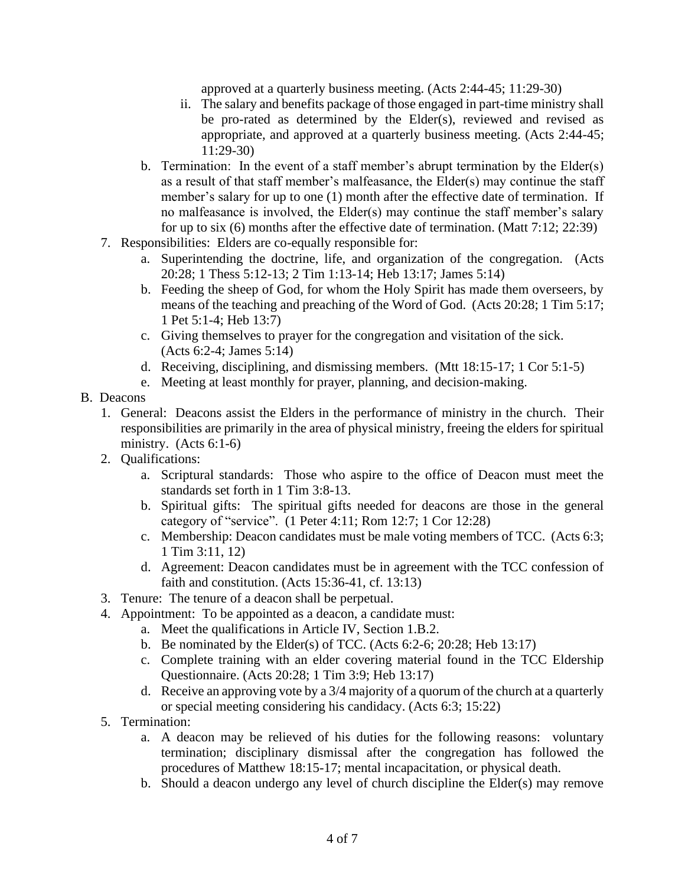approved at a quarterly business meeting. (Acts 2:44-45; 11:29-30)

- ii. The salary and benefits package of those engaged in part-time ministry shall be pro-rated as determined by the Elder(s), reviewed and revised as appropriate, and approved at a quarterly business meeting. (Acts 2:44-45; 11:29-30)
- b. Termination: In the event of a staff member's abrupt termination by the Elder(s) as a result of that staff member's malfeasance, the Elder(s) may continue the staff member's salary for up to one (1) month after the effective date of termination. If no malfeasance is involved, the Elder(s) may continue the staff member's salary for up to six (6) months after the effective date of termination. (Matt 7:12; 22:39)
- 7. Responsibilities: Elders are co-equally responsible for:
	- a. Superintending the doctrine, life, and organization of the congregation. (Acts 20:28; 1 Thess 5:12-13; 2 Tim 1:13-14; Heb 13:17; James 5:14)
	- b. Feeding the sheep of God, for whom the Holy Spirit has made them overseers, by means of the teaching and preaching of the Word of God. (Acts 20:28; 1 Tim 5:17; 1 Pet 5:1-4; Heb 13:7)
	- c. Giving themselves to prayer for the congregation and visitation of the sick. (Acts 6:2-4; James 5:14)
	- d. Receiving, disciplining, and dismissing members. (Mtt 18:15-17; 1 Cor 5:1-5)
	- e. Meeting at least monthly for prayer, planning, and decision-making.
- B. Deacons
	- 1. General: Deacons assist the Elders in the performance of ministry in the church. Their responsibilities are primarily in the area of physical ministry, freeing the elders for spiritual ministry. (Acts 6:1-6)
	- 2. Qualifications:
		- a. Scriptural standards: Those who aspire to the office of Deacon must meet the standards set forth in 1 Tim 3:8-13.
		- b. Spiritual gifts: The spiritual gifts needed for deacons are those in the general category of "service". (1 Peter 4:11; Rom 12:7; 1 Cor 12:28)
		- c. Membership: Deacon candidates must be male voting members of TCC. (Acts 6:3; 1 Tim 3:11, 12)
		- d. Agreement: Deacon candidates must be in agreement with the TCC confession of faith and constitution. (Acts 15:36-41, cf. 13:13)
	- 3. Tenure: The tenure of a deacon shall be perpetual.
	- 4. Appointment: To be appointed as a deacon, a candidate must:
		- a. Meet the qualifications in Article IV, Section 1.B.2.
		- b. Be nominated by the Elder(s) of TCC. (Acts  $6:2-6$ ;  $20:28$ ; Heb 13:17)
		- c. Complete training with an elder covering material found in the TCC Eldership Questionnaire. (Acts 20:28; 1 Tim 3:9; Heb 13:17)
		- d. Receive an approving vote by a 3/4 majority of a quorum of the church at a quarterly or special meeting considering his candidacy. (Acts 6:3; 15:22)
	- 5. Termination:
		- a. A deacon may be relieved of his duties for the following reasons: voluntary termination; disciplinary dismissal after the congregation has followed the procedures of Matthew 18:15-17; mental incapacitation, or physical death.
		- b. Should a deacon undergo any level of church discipline the Elder(s) may remove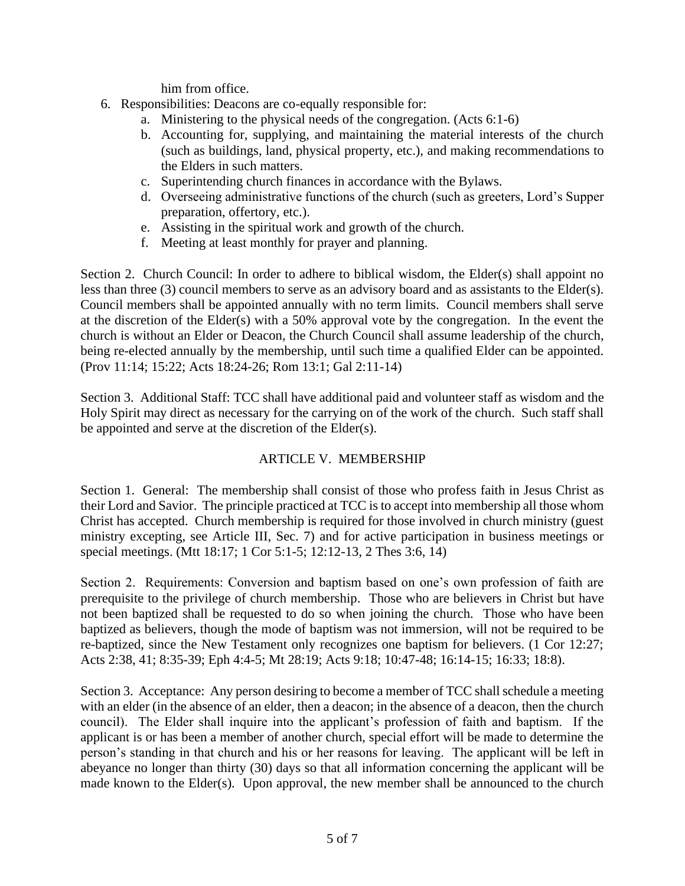him from office.

- 6. Responsibilities: Deacons are co-equally responsible for:
	- a. Ministering to the physical needs of the congregation. (Acts 6:1-6)
	- b. Accounting for, supplying, and maintaining the material interests of the church (such as buildings, land, physical property, etc.), and making recommendations to the Elders in such matters.
	- c. Superintending church finances in accordance with the Bylaws.
	- d. Overseeing administrative functions of the church (such as greeters, Lord's Supper preparation, offertory, etc.).
	- e. Assisting in the spiritual work and growth of the church.
	- f. Meeting at least monthly for prayer and planning.

Section 2. Church Council: In order to adhere to biblical wisdom, the Elder(s) shall appoint no less than three (3) council members to serve as an advisory board and as assistants to the Elder(s). Council members shall be appointed annually with no term limits. Council members shall serve at the discretion of the Elder(s) with a 50% approval vote by the congregation. In the event the church is without an Elder or Deacon, the Church Council shall assume leadership of the church, being re-elected annually by the membership, until such time a qualified Elder can be appointed. (Prov 11:14; 15:22; Acts 18:24-26; Rom 13:1; Gal 2:11-14)

Section 3. Additional Staff: TCC shall have additional paid and volunteer staff as wisdom and the Holy Spirit may direct as necessary for the carrying on of the work of the church. Such staff shall be appointed and serve at the discretion of the Elder(s).

# ARTICLE V. MEMBERSHIP

Section 1. General: The membership shall consist of those who profess faith in Jesus Christ as their Lord and Savior. The principle practiced at TCC is to accept into membership all those whom Christ has accepted. Church membership is required for those involved in church ministry (guest ministry excepting, see Article III, Sec. 7) and for active participation in business meetings or special meetings. (Mtt 18:17; 1 Cor 5:1-5; 12:12-13, 2 Thes 3:6, 14)

Section 2. Requirements: Conversion and baptism based on one's own profession of faith are prerequisite to the privilege of church membership. Those who are believers in Christ but have not been baptized shall be requested to do so when joining the church. Those who have been baptized as believers, though the mode of baptism was not immersion, will not be required to be re-baptized, since the New Testament only recognizes one baptism for believers. (1 Cor 12:27; Acts 2:38, 41; 8:35-39; Eph 4:4-5; Mt 28:19; Acts 9:18; 10:47-48; 16:14-15; 16:33; 18:8).

Section 3. Acceptance: Any person desiring to become a member of TCC shall schedule a meeting with an elder (in the absence of an elder, then a deacon; in the absence of a deacon, then the church council). The Elder shall inquire into the applicant's profession of faith and baptism. If the applicant is or has been a member of another church, special effort will be made to determine the person's standing in that church and his or her reasons for leaving. The applicant will be left in abeyance no longer than thirty (30) days so that all information concerning the applicant will be made known to the Elder(s). Upon approval, the new member shall be announced to the church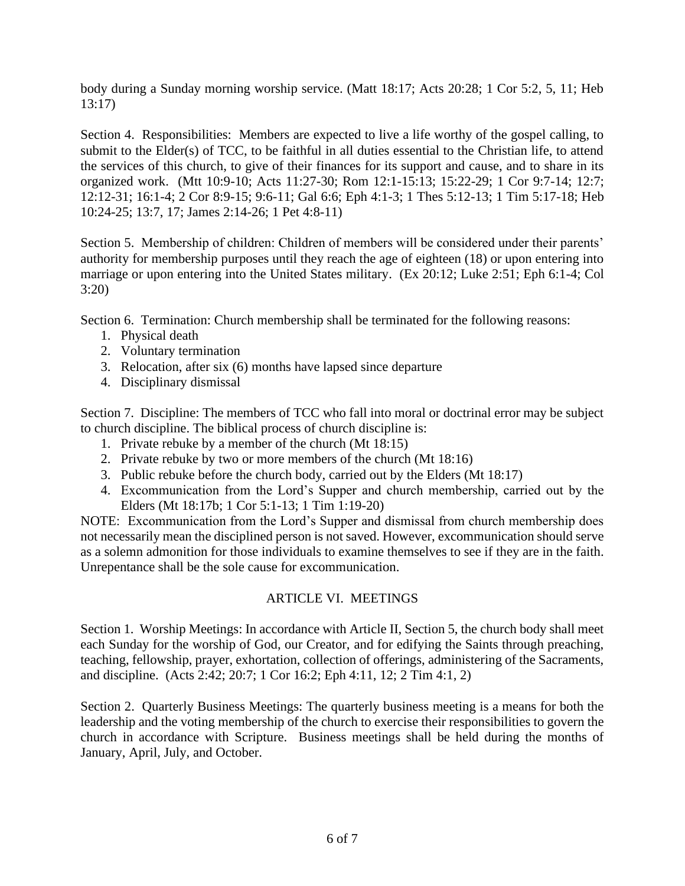body during a Sunday morning worship service. (Matt 18:17; Acts 20:28; 1 Cor 5:2, 5, 11; Heb 13:17)

Section 4. Responsibilities: Members are expected to live a life worthy of the gospel calling, to submit to the Elder(s) of TCC, to be faithful in all duties essential to the Christian life, to attend the services of this church, to give of their finances for its support and cause, and to share in its organized work. (Mtt 10:9-10; Acts 11:27-30; Rom 12:1-15:13; 15:22-29; 1 Cor 9:7-14; 12:7; 12:12-31; 16:1-4; 2 Cor 8:9-15; 9:6-11; Gal 6:6; Eph 4:1-3; 1 Thes 5:12-13; 1 Tim 5:17-18; Heb 10:24-25; 13:7, 17; James 2:14-26; 1 Pet 4:8-11)

Section 5. Membership of children: Children of members will be considered under their parents' authority for membership purposes until they reach the age of eighteen (18) or upon entering into marriage or upon entering into the United States military. (Ex 20:12; Luke 2:51; Eph 6:1-4; Col 3:20)

Section 6. Termination: Church membership shall be terminated for the following reasons:

- 1. Physical death
- 2. Voluntary termination
- 3. Relocation, after six (6) months have lapsed since departure
- 4. Disciplinary dismissal

Section 7. Discipline: The members of TCC who fall into moral or doctrinal error may be subject to church discipline. The biblical process of church discipline is:

- 1. Private rebuke by a member of the church (Mt 18:15)
- 2. Private rebuke by two or more members of the church (Mt 18:16)
- 3. Public rebuke before the church body, carried out by the Elders (Mt 18:17)
- 4. Excommunication from the Lord's Supper and church membership, carried out by the Elders (Mt 18:17b; 1 Cor 5:1-13; 1 Tim 1:19-20)

NOTE: Excommunication from the Lord's Supper and dismissal from church membership does not necessarily mean the disciplined person is not saved. However, excommunication should serve as a solemn admonition for those individuals to examine themselves to see if they are in the faith. Unrepentance shall be the sole cause for excommunication.

## ARTICLE VI. MEETINGS

Section 1. Worship Meetings: In accordance with Article II, Section 5, the church body shall meet each Sunday for the worship of God, our Creator, and for edifying the Saints through preaching, teaching, fellowship, prayer, exhortation, collection of offerings, administering of the Sacraments, and discipline. (Acts 2:42; 20:7; 1 Cor 16:2; Eph 4:11, 12; 2 Tim 4:1, 2)

Section 2. Quarterly Business Meetings: The quarterly business meeting is a means for both the leadership and the voting membership of the church to exercise their responsibilities to govern the church in accordance with Scripture. Business meetings shall be held during the months of January, April, July, and October.